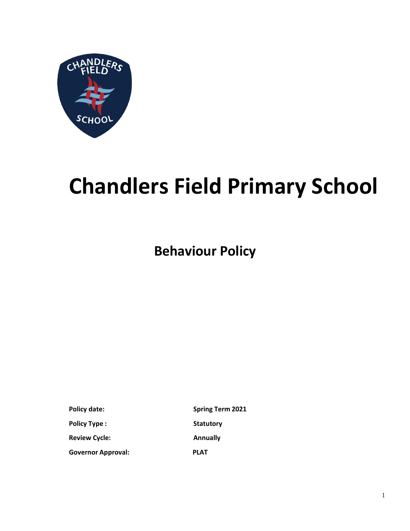

# **Chandlers Field Primary School**

**Behaviour Policy**

**Policy Type : Statutory Review Cycle: Annually Governor Approval: PLAT**

**Policy date: Spring Term 2021**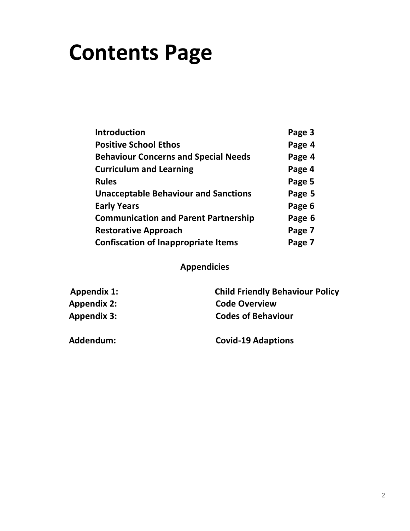## **Contents Page**

| <b>Introduction</b>                         | Page 3 |
|---------------------------------------------|--------|
| <b>Positive School Ethos</b>                | Page 4 |
| <b>Behaviour Concerns and Special Needs</b> | Page 4 |
| <b>Curriculum and Learning</b>              | Page 4 |
| <b>Rules</b>                                | Page 5 |
| <b>Unacceptable Behaviour and Sanctions</b> | Page 5 |
| <b>Early Years</b>                          | Page 6 |
| <b>Communication and Parent Partnership</b> | Page 6 |
| <b>Restorative Approach</b>                 | Page 7 |
| <b>Confiscation of Inappropriate Items</b>  | Page 7 |

## **Appendicies**

| <b>Child Friendly Behaviour Policy</b> |
|----------------------------------------|
| <b>Code Overview</b>                   |
| <b>Codes of Behaviour</b>              |
|                                        |

**Addendum: Covid-19 Adaptions**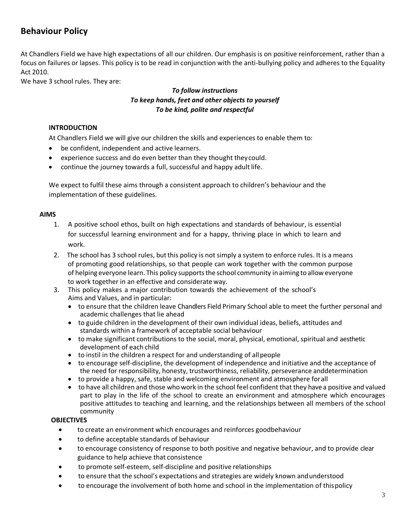### **Behaviour Policy**

At Chandlers Field we have high expectations of all our children. Our emphasis is on positive reinforcement, rather than a focus on failures or lapses. This policy is to be read in conjunction with the anti-bullying policy and adheres to the Equality Act 2010.

We have 3 school rules. They are:

#### *To follow instructions To keep hands, feet and other objects to yourself To be kind, polite and respectful*

#### **INTRODUCTION**

At Chandlers Field we will give our children the skills and experiences to enable them to:

- be confident, independent and active learners.
- experience success and do even better than they thought they could.
- continue the journey towards a full, successful and happy adult life.

We expect to fulfil these aims through a consistent approach to children's behaviour and the implementation of these guidelines.

#### **AIMS**

- 1. A positive school ethos, built on high expectations and standards of behaviour, is essential for successful learning environment and for a happy, thriving place in which to learn and work.
- 2. The school has 3 school rules, but this policy is not simply a system to enforce rules. It is a means of promoting good relationships, so that people can work together with the common purpose of helping everyone learn. This policy supports the school community in aiming to allow everyone to work together in an effective and considerate way.
- 3. This policy makes a major contribution towards the achievement of the school's Aims and Values, and in particular:
	- to ensure that the children leave Chandlers Field Primary School able to meet the further personal and academic challenges that lie ahead
	- to guide children in the development of their own individual ideas, beliefs, attitudes and standards within a framework of acceptable social behaviour
	- to make significant contributions to the social, moral, physical, emotional, spiritual and aesthetic development of each child
	- to instil in the children a respect for and understanding of allpeople
	- to encourage self-discipline, the development of independence and initiative and the acceptance of the need for responsibility, honesty, trustworthiness, reliability, perseverance anddetermination
	- to provide a happy, safe, stable and welcoming environment and atmosphere forall
	- to have all children and those who work in the school feel confident that they have a positive and valued part to play in the life of the school to create an environment and atmosphere which encourages positive attitudes to teaching and learning, and the relationships between all members of the school community

#### **OBJECTIVES**

- to create an environment which encourages and reinforces goodbehaviour
- to define acceptable standards of behaviour
- to encourage consistency of response to both positive and negative behaviour, and to provide clear guidance to help achieve that consistence
- to promote self-esteem, self-discipline and positive relationships
- to ensure that the school's expectations and strategies are widely known andunderstood
- to encourage the involvement of both home and school in the implementation of thispolicy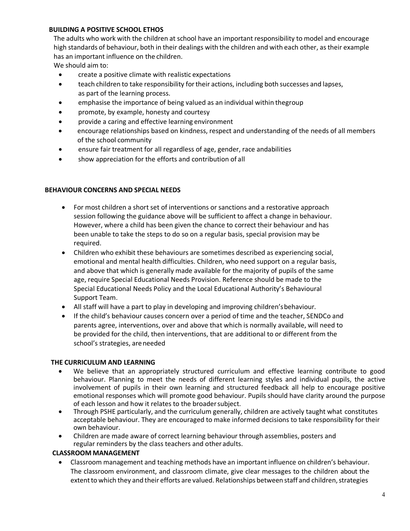#### **BUILDING A POSITIVE SCHOOL ETHOS**

The adults who work with the children at school have an important responsibility to model and encourage high standards of behaviour, both in their dealings with the children and with each other, as their example has an important influence on the children.

We should aim to:

- create a positive climate with realistic expectations
- teach children to take responsibility fortheir actions, including both successes and lapses, as part of the learning process.
- emphasise the importance of being valued as an individual within thegroup
- promote, by example, honesty and courtesy
- provide a caring and effective learning environment
- encourage relationships based on kindness, respect and understanding of the needs of all members of the school community
- ensure fair treatment for all regardless of age, gender, race andabilities
- show appreciation for the efforts and contribution of all

#### **BEHAVIOUR CONCERNS AND SPECIAL NEEDS**

- For most children a short set of interventions or sanctions and a restorative approach session following the guidance above will be sufficient to affect a change in behaviour. However, where a child has been given the chance to correct their behaviour and has been unable to take the steps to do so on a regular basis, special provision may be required.
- Children who exhibit these behaviours are sometimes described as experiencing social, emotional and mental health difficulties. Children, who need support on a regular basis, and above that which is generally made available for the majority of pupils of the same age, require Special Educational Needs Provision. Reference should be made to the Special Educational Needs Policy and the Local Educational Authority's Behavioural Support Team.
- All staff will have a part to play in developing and improving children'sbehaviour.
- If the child's behaviour causes concern over a period of time and the teacher, SENDCo and parents agree, interventions, over and above that which is normally available, will need to be provided for the child, then interventions, that are additional to or different from the school's strategies, areneeded

#### **THE CURRICULUM AND LEARNING**

- We believe that an appropriately structured curriculum and effective learning contribute to good behaviour. Planning to meet the needs of different learning styles and individual pupils, the active involvement of pupils in their own learning and structured feedback all help to encourage positive emotional responses which will promote good behaviour. Pupils should have clarity around the purpose of each lesson and how it relates to the broadersubject.
- Through PSHE particularly, and the curriculum generally, children are actively taught what constitutes acceptable behaviour. They are encouraged to make informed decisions to take responsibility for their own behaviour.
- Children are made aware of correct learning behaviour through assemblies, posters and regular reminders by the class teachers and other adults.

#### **CLASSROOM MANAGEMENT**

• Classroom management and teaching methods have an important influence on children's behaviour. The classroom environment, and classroom climate, give clear messages to the children about the extent to which they and their efforts are valued. Relationships between staff and children, strategies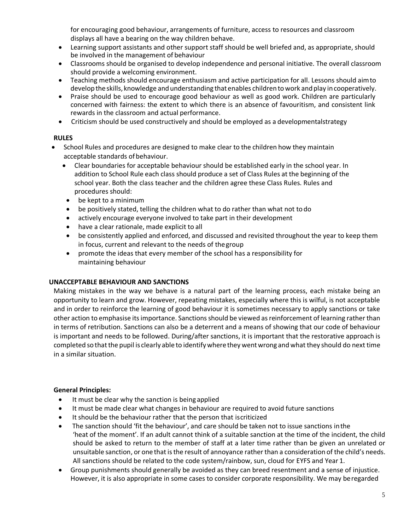for encouraging good behaviour, arrangements of furniture, access to resources and classroom displays all have a bearing on the way children behave.

- Learning support assistants and other support staff should be well briefed and, as appropriate, should be involved in the management of behaviour
- Classrooms should be organised to develop independence and personal initiative. The overall classroom should provide a welcoming environment.
- Teaching methods should encourage enthusiasm and active participation for all. Lessons should aimto developthe skills, knowledge andunderstanding thatenables children to work andplay incooperatively.
- Praise should be used to encourage good behaviour as well as good work. Children are particularly concerned with fairness: the extent to which there is an absence of favouritism, and consistent link rewards in the classroom and actual performance.
- Criticism should be used constructively and should be employed as a developmentalstrategy

#### **RULES**

- School Rules and procedures are designed to make clear to the children how they maintain acceptable standards of behaviour.
	- Clear boundaries for acceptable behaviour should be established early in the school year. In addition to School Rule each class should produce a set of Class Rules at the beginning of the school year. Both the class teacher and the children agree these Class Rules. Rules and procedures should:
	- be kept to a minimum
	- be positively stated, telling the children what to do rather than what not to do
	- actively encourage everyone involved to take part in their development
	- have a clear rationale, made explicit to all
	- be consistently applied and enforced, and discussed and revisited throughout the year to keep them in focus, current and relevant to the needs of thegroup
	- promote the ideas that every member of the school has a responsibility for maintaining behaviour

#### **UNACCEPTABLE BEHAVIOUR AND SANCTIONS**

Making mistakes in the way we behave is a natural part of the learning process, each mistake being an opportunity to learn and grow. However, repeating mistakes, especially where this is wilful, is not acceptable and in order to reinforce the learning of good behaviour it is sometimes necessary to apply sanctions or take other action to emphasise its importance. Sanctions should be viewed as reinforcement of learning rather than in terms of retribution. Sanctions can also be a deterrent and a means of showing that our code of behaviour is important and needs to be followed. During/after sanctions, it is important that the restorative approach is completed sothatthe pupil is clearly able to identifywhere they wentwrong and whatthey should do next time in a similar situation.

#### **General Principles:**

- It must be clear why the sanction is being applied
- It must be made clear what changes in behaviour are required to avoid future sanctions
- It should be the behaviour rather that the person that iscriticized
- The sanction should 'fit the behaviour', and care should be taken not to issue sanctions inthe 'heat of the moment'. If an adult cannot think of a suitable sanction at the time of the incident, the child should be asked to return to the member of staff at a later time rather than be given an unrelated or unsuitable sanction, or one that is the result of annoyance rather than a consideration of the child's needs. All sanctions should be related to the code system/rainbow, sun, cloud for EYFS and Year 1.
- Group punishments should generally be avoided as they can breed resentment and a sense of injustice. However, it is also appropriate in some cases to consider corporate responsibility. We may beregarded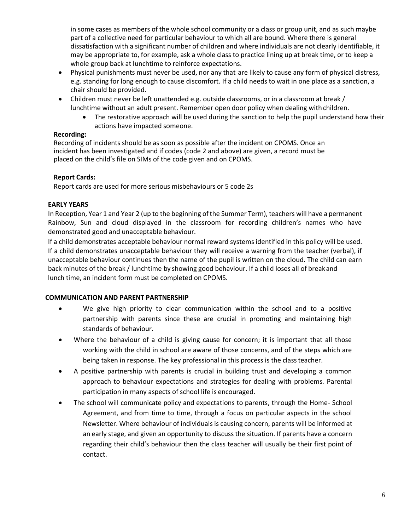in some cases as members of the whole school community or a class or group unit, and as such maybe part of a collective need for particular behaviour to which all are bound. Where there is general dissatisfaction with a significant number of children and where individuals are not clearly identifiable, it may be appropriate to, for example, ask a whole class to practice lining up at break time, or to keep a whole group back at lunchtime to reinforce expectations.

- Physical punishments must never be used, nor any that are likely to cause any form of physical distress, e.g. standing for long enough to cause discomfort. If a child needs to wait in one place as a sanction, a chair should be provided.
- Children must never be left unattended e.g. outside classrooms, or in a classroom at break / lunchtime without an adult present. Remember open door policy when dealing with children.
	- The restorative approach will be used during the sanction to help the pupil understand how their actions have impacted someone.

#### **Recording:**

Recording of incidents should be as soon as possible after the incident on CPOMS. Once an incident has been investigated and if codes (code 2 and above) are given, a record must be placed on the child's file on SIMs of the code given and on CPOMS.

#### **Report Cards:**

Report cards are used for more serious misbehaviours or 5 code 2s

#### **EARLY YEARS**

In Reception, Year 1 and Year 2 (up to the beginning of the Summer Term), teachers will have a permanent Rainbow, Sun and cloud displayed in the classroom for recording children's names who have demonstrated good and unacceptable behaviour.

If a child demonstrates acceptable behaviour normal reward systems identified in this policy will be used. If a child demonstrates unacceptable behaviour they will receive a warning from the teacher (verbal), if unacceptable behaviour continues then the name of the pupil is written on the cloud. The child can earn back minutes of the break / lunchtime by showing good behaviour. If a child loses all of breakand lunch time, an incident form must be completed on CPOMS.

#### **COMMUNICATION AND PARENT PARTNERSHIP**

- We give high priority to clear communication within the school and to a positive partnership with parents since these are crucial in promoting and maintaining high standards of behaviour.
- Where the behaviour of a child is giving cause for concern; it is important that all those working with the child in school are aware of those concerns, and of the steps which are being taken in response. The key professional in this process is the classteacher.
- A positive partnership with parents is crucial in building trust and developing a common approach to behaviour expectations and strategies for dealing with problems. Parental participation in many aspects of school life is encouraged.
- The school will communicate policy and expectations to parents, through the Home-School Agreement, and from time to time, through a focus on particular aspects in the school Newsletter. Where behaviour of individuals is causing concern, parents will be informed at an early stage, and given an opportunity to discuss the situation. If parents have a concern regarding their child's behaviour then the class teacher will usually be their first point of contact.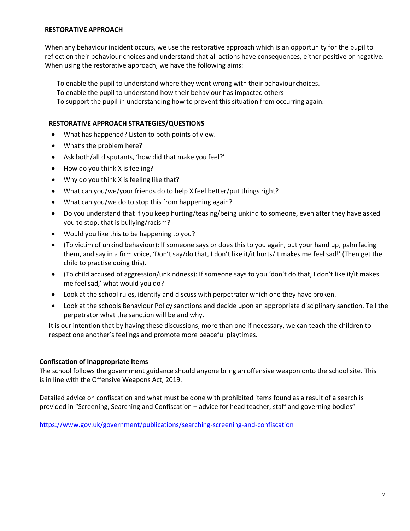#### **RESTORATIVE APPROACH**

When any behaviour incident occurs, we use the restorative approach which is an opportunity for the pupil to reflect on their behaviour choices and understand that all actions have consequences, either positive or negative. When using the restorative approach, we have the following aims:

- To enable the pupil to understand where they went wrong with their behaviour choices.
- To enable the pupil to understand how their behaviour has impacted others
- To support the pupil in understanding how to prevent this situation from occurring again.

#### **RESTORATIVE APPROACH STRATEGIES/QUESTIONS**

- What has happened? Listen to both points of view.
- What's the problem here?
- Ask both/all disputants, 'how did that make you feel?'
- How do you think X is feeling?
- Why do you think X is feeling like that?
- What can you/we/your friends do to help X feel better/put things right?
- What can you/we do to stop this from happening again?
- Do you understand that if you keep hurting/teasing/being unkind to someone, even after they have asked you to stop, that is bullying/racism?
- Would you like this to be happening to you?
- (To victim of unkind behaviour): If someone says or does this to you again, put your hand up, palmfacing them, and say in a firm voice, 'Don't say/do that, I don't like it/it hurts/it makes me feel sad!' (Then get the child to practise doing this).
- (To child accused of aggression/unkindness): If someone says to you 'don't do that, I don't like it/it makes me feel sad,' what would you do?
- Look at the school rules, identify and discuss with perpetrator which one they have broken.
- Look at the schools Behaviour Policy sanctions and decide upon an appropriate disciplinary sanction. Tell the perpetrator what the sanction will be and why.

It is our intention that by having these discussions, more than one if necessary, we can teach the children to respect one another's feelings and promote more peaceful playtimes.

#### **Confiscation of Inappropriate Items**

The school follows the government guidance should anyone bring an offensive weapon onto the school site. This is in line with the Offensive Weapons Act, 2019.

Detailed advice on confiscation and what must be done with prohibited items found as a result of a search is provided in "Screening, Searching and Confiscation – advice for head teacher, staff and governing bodies"

<https://www.gov.uk/government/publications/searching-screening-and-confiscation>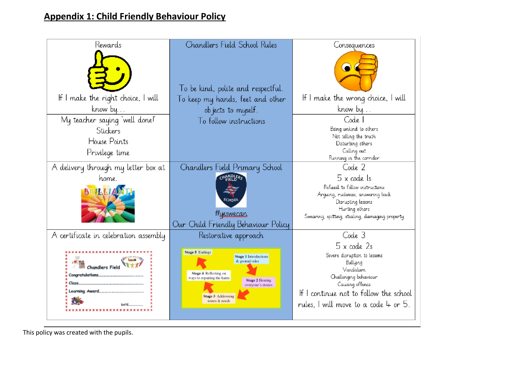## **Appendix 1: Child Friendly Behaviour Policy**

| Rewards                               | Chandlers Field School Rules                        | Consequences                                            |
|---------------------------------------|-----------------------------------------------------|---------------------------------------------------------|
|                                       | To be kind, polite and respectful.                  |                                                         |
| If I make the right choice, I will    | To keep my hands, feet and other                    | If I make the wrong choice, I will                      |
| know by                               | objects to myself.                                  | know by                                                 |
| My teacher saying 'well done!'        | To follow instructions                              | Code 1                                                  |
| Stickers                              |                                                     | Being unkind to others                                  |
| House Points                          |                                                     | Not telling the truth<br>Disturbing others              |
| Privilege time                        |                                                     | Calling out                                             |
|                                       |                                                     | Running in the corridor                                 |
| A delivery through my letter box at   | Chandlers Field Primary School                      | Code 2                                                  |
| home.                                 | CHANDLERS                                           | 5 x code Is                                             |
| <b>ILLIAN</b>                         |                                                     | Refusal to follow instructions                          |
|                                       |                                                     | Arquing, rudeness, answering back<br>Disrupting lessons |
|                                       |                                                     | Hurting others                                          |
|                                       | <i>Hyeswecan</i>                                    | Swearing, spitting, stealing, damaging property         |
|                                       | Our Child Friendly Behaviour Policy                 |                                                         |
| A certificate in celebration assembly | Restorative approach                                | Code 3                                                  |
|                                       |                                                     | 5 x code 2s                                             |
|                                       | Stage 5 Endings<br><b>Stage 1 Introductions</b>     | Severe disruption to lessons                            |
| <b>Chandlers Field</b>                | & ground rules                                      | Bullying<br>Vandalism                                   |
| Congratulations.                      | Stage 4 Reflecting on<br>ways to repairing the harm | Challenging behaviour                                   |
| Class                                 | <b>Stage 2 Hearing</b><br>everyone's stories        | Causing offence                                         |
|                                       | <b>Stage 3 Addressing</b>                           | If I continue not to follow the school                  |
|                                       | issues & needs                                      | rules, I will move to a code $4$ or 5.                  |
|                                       |                                                     |                                                         |
|                                       |                                                     |                                                         |

This policy was created with the pupils.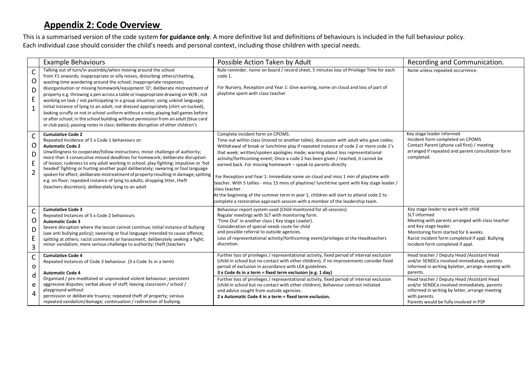## **Appendix 2: Code Overview**

This is a summarised version of the code system **for guidance only**. A more definitive list and definitions of behaviours is included in the full behaviour policy. Each individual case should consider the child's needs and personal context, including those children with special needs.

|                                                   | <b>Example Behaviours</b>                                                                                                                                                                                                                                                                                                                                                                                                                                                                                                                                                                                                                                                                                                                                                                                                           | Possible Action Taken by Adult                                                                                                                                                                                                                                                                                                                                                                                                                                                                                                                                                                                                                                                                                                                                                                                                            | Recording and Communication.                                                                                                                                                                                                                                     |
|---------------------------------------------------|-------------------------------------------------------------------------------------------------------------------------------------------------------------------------------------------------------------------------------------------------------------------------------------------------------------------------------------------------------------------------------------------------------------------------------------------------------------------------------------------------------------------------------------------------------------------------------------------------------------------------------------------------------------------------------------------------------------------------------------------------------------------------------------------------------------------------------------|-------------------------------------------------------------------------------------------------------------------------------------------------------------------------------------------------------------------------------------------------------------------------------------------------------------------------------------------------------------------------------------------------------------------------------------------------------------------------------------------------------------------------------------------------------------------------------------------------------------------------------------------------------------------------------------------------------------------------------------------------------------------------------------------------------------------------------------------|------------------------------------------------------------------------------------------------------------------------------------------------------------------------------------------------------------------------------------------------------------------|
| $\mathsf{C}$<br>$\circ$<br>D<br>E<br>$\mathbf{1}$ | Talking out of turn/in assembly/when moving around the school<br>from Y1 onwards; inappropriate or silly noises, disturbing others/chatting,<br>wasting time wandering around the school; inappropriate responses;<br>disorganisation or missing homework/equipment 'O'; deliberate mistreatment of<br>property e.g. throwing a pen across a table or inappropriate drawing on W/B; not<br>working on task / not participating in a group situation; using unkind language;<br>initial instance of lying to an adult; not dressed appropriately (shirt un-tucked),<br>looking scruffy or not in school uniform without a note; playing ball games before<br>or after school; in the school building without permission from an adult (blue card<br>or club pass); passing notes in class; deliberate disruption of other children's | Rule reminder, name on board / record sheet, 5 minutes loss of Privilege Time for each<br>code 1.<br>For Nursery, Reception and Year 1: Give warning, name on cloud and loss of part of<br>playtime spent with class teacher.                                                                                                                                                                                                                                                                                                                                                                                                                                                                                                                                                                                                             | None unless repeated occurrence.                                                                                                                                                                                                                                 |
| $\mathsf{C}$<br>O<br>D<br>E<br>$\overline{2}$     | <b>Cumulative Code 2</b><br>Repeated Incidence of 5 x Code 1 behaviours or:<br><b>Automatic Code 2</b><br>Unwillingness to cooperate/follow instructions; minor challenge of authority;<br>more than 3 consecutive missed deadlines for homework; deliberate disruption<br>of lesson; rudeness to any adult working in school; play fighting; impulsive or 'hot<br>headed' fighting or hurting another pupil deliberately; swearing or foul language<br>spoken for effect; deliberate mistreatment of property resulting in damage; spitting<br>e.g. on floor; repeated instance of lying to adults; dropping litter, theft<br>(teachers discretion); deliberately lying to an adult                                                                                                                                                | Complete incident form on CPOMS.<br>Time out within class (moved to another table); discussion with adult who gave codes;<br>Withdrawal of break or lunchtime play if repeated instance of code 2 or more code 1's<br>that week; written/spoken apologies made; warning about loss representational<br>activity/forthcoming event; Once a code 2 has been given / reached, it cannot be<br>earned back. For missing homework - speak to parents directly<br>For Reception and Year 1: Immediate name on cloud and miss 1 min of playtime with<br>teacher. With 5 tallies - miss 15 mins of playtime/ lunchtime spent with Key stage leader /<br>class teacher.<br>At the beginning of the summer term in year 1, children will start to attend code 2 to<br>complete a restorative approach session with a member of the leadership team. | Key stage leader informed<br>Incident form completed on CPOMS<br>Contact Parent (phone call first) / meeting<br>arranged if repeated and parent consultation form<br>completed.                                                                                  |
| $\mathsf{C}$<br>$\circ$<br>D<br>E<br>3            | <b>Cumulative Code 3</b><br>Repeated Instances of 5 x Code 2 behaviours<br><b>Automatic Code 3</b><br>Severe disruption where the lesson cannot continue; initial instance of bullying<br>(see anti bullying policy); swearing or foul language intended to cause offence;<br>spitting at others; racist comments or harassment; deliberately seeking a fight;<br>minor vandalism; more serious challenge to authority; theft (teachers                                                                                                                                                                                                                                                                                                                                                                                             | Behaviour report system used (Child monitored for all sessions)<br>Regular meetings with SLT with monitoring form.<br>'Time Out' in another class (Key stage Leader).<br>Consideration of special needs route for child<br>and possible referral to outside agencies.<br>Loss of representational activity/forthcoming event/privileges at the Headteachers<br>discretion.                                                                                                                                                                                                                                                                                                                                                                                                                                                                | Key stage leader to work with child<br>SLT informed<br>Meeting with parents arranged with class teacher<br>and Key stage leader.<br>Monitoring form started for 6 weeks.<br>Racist incident form completed if appl. Bullying<br>incident form completed if appl. |
| $\mathsf{C}$<br>$\mathbf 0$                       | <b>Cumulative Code 4</b><br>Repeated instances of Code 3 behaviour. (3 x Code 3s in a term)<br><b>Automatic Code 4</b>                                                                                                                                                                                                                                                                                                                                                                                                                                                                                                                                                                                                                                                                                                              | Further loss of privileges / representational activity, fixed period of internal exclusion<br>(child in school but no contact with other children), if no improvements consider fixed<br>period of exclusion in accordance with LEA guidelines.<br>3 x Code 4s in a term = fixed term exclusion (e.g. 1 day)                                                                                                                                                                                                                                                                                                                                                                                                                                                                                                                              | Head teacher / Deputy Head / Assistant Head<br>and/or SENDCo involved immediately, parents<br>informed in writing byletter, arrange meeting with<br>parents.                                                                                                     |
| d<br>e<br>4                                       | Organised / pre-meditated or unprovoked violent behaviour; persistent<br>aggressive disputes; verbal abuse of staff; leaving classroom / school /<br>playground without<br>permission or deliberate truancy; repeated theft of property; serious<br>repeated vandalism/damage; continuation / redirection of bullying.                                                                                                                                                                                                                                                                                                                                                                                                                                                                                                              | Further loss of privileges / representational activity, fixed period of internal exclusion<br>(child in school but no contact with other children), Behaviour contract initiated<br>and advice sought from outside agencies.<br>2 x Automatic Code 4 in a term = fixed term exclusion.                                                                                                                                                                                                                                                                                                                                                                                                                                                                                                                                                    | Head teacher / Deputy Head / Assistant Head<br>and/or SENDCo involved immediately, parents<br>informed in writing by letter, arrange meeting<br>with parents.<br>Parents would be fully involved in PSP                                                          |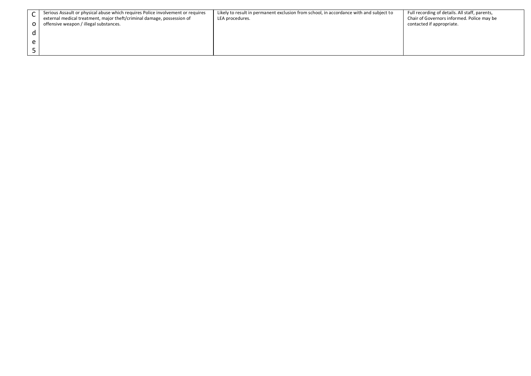| Serious Assault or physical abuse which requires Police involvement or requires<br>external medical treatment, major theft/criminal damage, possession of<br>offensive weapon / illegal substances. | Likely to result in permanent exclusion from school, in accordance with and subject to<br>LEA procedures. | Full recording of details. All staff, parents,<br>Chair of Governors informed. Police may be<br>contacted if appropriate. |
|-----------------------------------------------------------------------------------------------------------------------------------------------------------------------------------------------------|-----------------------------------------------------------------------------------------------------------|---------------------------------------------------------------------------------------------------------------------------|
|                                                                                                                                                                                                     |                                                                                                           |                                                                                                                           |
|                                                                                                                                                                                                     |                                                                                                           |                                                                                                                           |
|                                                                                                                                                                                                     |                                                                                                           |                                                                                                                           |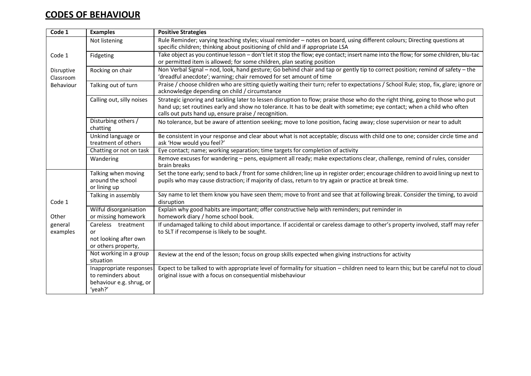## **CODES OF BEHAVIOUR**

| Code 1                    | <b>Examples</b>                                                                      | <b>Positive Strategies</b>                                                                                                                                                                                                                                                                                          |
|---------------------------|--------------------------------------------------------------------------------------|---------------------------------------------------------------------------------------------------------------------------------------------------------------------------------------------------------------------------------------------------------------------------------------------------------------------|
|                           | Not listening                                                                        | Rule Reminder; varying teaching styles; visual reminder - notes on board, using different colours; Directing questions at<br>specific children; thinking about positioning of child and if appropriate LSA                                                                                                          |
| Code 1                    | Fidgeting                                                                            | Take object as you continue lesson - don't let it stop the flow; eye contact; insert name into the flow; for some children, blu-tac<br>or permitted item is allowed; for some children, plan seating position                                                                                                       |
| Disruptive<br>Classroom   | Rocking on chair                                                                     | Non Verbal Signal - nod, look, hand gesture; Go behind chair and tap or gently tip to correct position; remind of safety - the<br>'dreadful anecdote'; warning; chair removed for set amount of time                                                                                                                |
| Behaviour                 | Talking out of turn                                                                  | Praise / choose children who are sitting quietly waiting their turn; refer to expectations / School Rule; stop, fix, glare; ignore or<br>acknowledge depending on child / circumstance                                                                                                                              |
| Calling out, silly noises |                                                                                      | Strategic ignoring and tackling later to lessen disruption to flow; praise those who do the right thing, going to those who put<br>hand up; set routines early and show no tolerance. It has to be dealt with sometime; eye contact; when a child who often<br>calls out puts hand up, ensure praise / recognition. |
|                           | Disturbing others /<br>chatting                                                      | No tolerance, but be aware of attention seeking; move to lone position, facing away; close supervision or near to adult                                                                                                                                                                                             |
|                           | Unkind language or<br>treatment of others                                            | Be consistent in your response and clear about what is not acceptable; discuss with child one to one; consider circle time and<br>ask 'How would you feel?'                                                                                                                                                         |
|                           | Chatting or not on task                                                              | Eye contact; name; working separation; time targets for completion of activity                                                                                                                                                                                                                                      |
|                           | Wandering                                                                            | Remove excuses for wandering - pens, equipment all ready; make expectations clear, challenge, remind of rules, consider<br>brain breaks                                                                                                                                                                             |
|                           | Talking when moving<br>around the school<br>or lining up                             | Set the tone early; send to back / front for some children; line up in register order; encourage children to avoid lining up next to<br>pupils who may cause distraction; if majority of class, return to try again or practice at break time.                                                                      |
| Code 1                    | Talking in assembly                                                                  | Say name to let them know you have seen them; move to front and see that at following break. Consider the timing, to avoid<br>disruption                                                                                                                                                                            |
| Other                     | Wilful disorganisation<br>or missing homework                                        | Explain why good habits are important; offer constructive help with reminders; put reminder in<br>homework diary / home school book.                                                                                                                                                                                |
| general<br>examples       | Careless treatment<br>or                                                             | If undamaged talking to child about importance. If accidental or careless damage to other's property involved, staff may refer<br>to SLT if recompense is likely to be sought.                                                                                                                                      |
|                           | not looking after own<br>or others property,                                         |                                                                                                                                                                                                                                                                                                                     |
|                           | Not working in a group<br>situation                                                  | Review at the end of the lesson; focus on group skills expected when giving instructions for activity                                                                                                                                                                                                               |
|                           | Inappropriate responses<br>to reminders about<br>behaviour e.g. shrug, or<br>'yeah?' | Expect to be talked to with appropriate level of formality for situation - children need to learn this; but be careful not to cloud<br>original issue with a focus on consequential misbehaviour                                                                                                                    |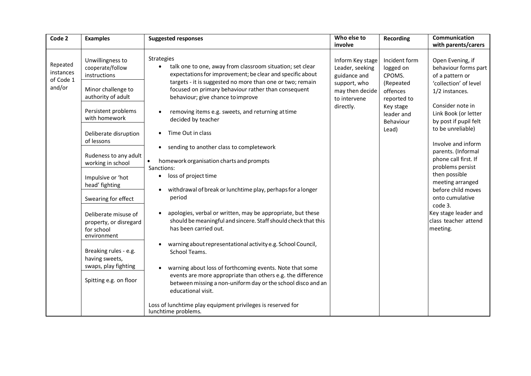| Code 2                                       | <b>Examples</b>                                                                                                                                                                                                                                                                                                                                                                                                                                                         | <b>Suggested responses</b>                                                                                                                                                                                                                                                                                                                                                                                                                                                                                                                                                                                                                                                                                                                                                                                                                                                                                                                                                                                                                                                                                                                                                                              | Who else to<br>involve                                                                                              | Recording                                                                                                                     | Communication<br>with parents/carers                                                                                                                                                                                                                                                                                                                                                                                                          |
|----------------------------------------------|-------------------------------------------------------------------------------------------------------------------------------------------------------------------------------------------------------------------------------------------------------------------------------------------------------------------------------------------------------------------------------------------------------------------------------------------------------------------------|---------------------------------------------------------------------------------------------------------------------------------------------------------------------------------------------------------------------------------------------------------------------------------------------------------------------------------------------------------------------------------------------------------------------------------------------------------------------------------------------------------------------------------------------------------------------------------------------------------------------------------------------------------------------------------------------------------------------------------------------------------------------------------------------------------------------------------------------------------------------------------------------------------------------------------------------------------------------------------------------------------------------------------------------------------------------------------------------------------------------------------------------------------------------------------------------------------|---------------------------------------------------------------------------------------------------------------------|-------------------------------------------------------------------------------------------------------------------------------|-----------------------------------------------------------------------------------------------------------------------------------------------------------------------------------------------------------------------------------------------------------------------------------------------------------------------------------------------------------------------------------------------------------------------------------------------|
| Repeated<br>instances<br>of Code 1<br>and/or | Unwillingness to<br>cooperate/follow<br>instructions<br>Minor challenge to<br>authority of adult<br>Persistent problems<br>with homework<br>Deliberate disruption<br>of lessons<br>Rudeness to any adult<br>working in school<br>Impulsive or 'hot<br>head' fighting<br>Swearing for effect<br>Deliberate misuse of<br>property, or disregard<br>for school<br>environment<br>Breaking rules - e.g.<br>having sweets,<br>swaps, play fighting<br>Spitting e.g. on floor | <b>Strategies</b><br>talk one to one, away from classroom situation; set clear<br>expectations for improvement; be clear and specific about<br>targets - it is suggested no more than one or two; remain<br>focused on primary behaviour rather than consequent<br>behaviour; give chance to improve<br>removing items e.g. sweets, and returning at time<br>decided by teacher<br>Time Out in class<br>sending to another class to completework<br>$\bullet$<br>homework organisation charts and prompts<br>$\bullet$<br>Sanctions:<br>loss of project time<br>$\bullet$<br>withdrawal of break or lunchtime play, perhaps for a longer<br>$\bullet$<br>period<br>apologies, verbal or written, may be appropriate, but these<br>should be meaningful and sincere. Staff should check that this<br>has been carried out.<br>warning about representational activity e.g. School Council,<br>School Teams.<br>warning about loss of forthcoming events. Note that some<br>$\bullet$<br>events are more appropriate than others e.g. the difference<br>between missing a non-uniform day or the school disco and an<br>educational visit.<br>Loss of lunchtime play equipment privileges is reserved for | Inform Key stage<br>Leader, seeking<br>guidance and<br>support, who<br>may then decide<br>to intervene<br>directly. | Incident form<br>logged on<br>CPOMS.<br>(Repeated<br>offences<br>reported to<br>Key stage<br>leader and<br>Behaviour<br>Lead) | Open Evening, if<br>behaviour forms part<br>of a pattern or<br>'collection' of level<br>1/2 instances.<br>Consider note in<br>Link Book (or letter<br>by post if pupil felt<br>to be unreliable)<br>Involve and inform<br>parents. (Informal<br>phone call first. If<br>problems persist<br>then possible<br>meeting arranged<br>before child moves<br>onto cumulative<br>code 3.<br>Key stage leader and<br>class teacher attend<br>meeting. |
|                                              |                                                                                                                                                                                                                                                                                                                                                                                                                                                                         | lunchtime problems.                                                                                                                                                                                                                                                                                                                                                                                                                                                                                                                                                                                                                                                                                                                                                                                                                                                                                                                                                                                                                                                                                                                                                                                     |                                                                                                                     |                                                                                                                               |                                                                                                                                                                                                                                                                                                                                                                                                                                               |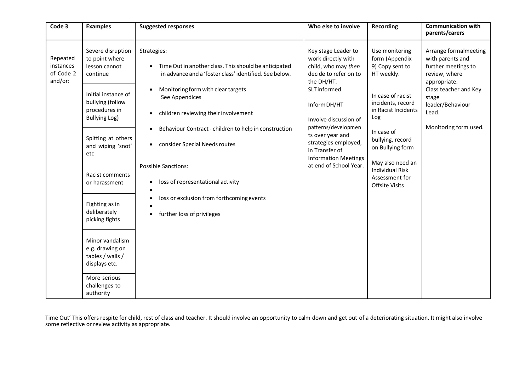| Code 3                                        | <b>Examples</b>                                                                                             | <b>Suggested responses</b>                                                                                                                                                             | Who else to involve                                                                                                                      | <b>Recording</b>                                                                                                                     | <b>Communication with</b><br>parents/carers                                                                                                                                               |
|-----------------------------------------------|-------------------------------------------------------------------------------------------------------------|----------------------------------------------------------------------------------------------------------------------------------------------------------------------------------------|------------------------------------------------------------------------------------------------------------------------------------------|--------------------------------------------------------------------------------------------------------------------------------------|-------------------------------------------------------------------------------------------------------------------------------------------------------------------------------------------|
| Repeated<br>instances<br>of Code 2<br>and/or: | Severe disruption<br>to point where<br>lesson cannot<br>continue<br>Initial instance of<br>bullying (follow | Strategies:<br>Time Out in another class. This should be anticipated<br>in advance and a 'foster class' identified. See below.<br>Monitoring form with clear targets<br>See Appendices | Key stage Leader to<br>work directly with<br>child, who may then<br>decide to refer on to<br>the DH/HT.<br>SLT informed.<br>Inform DH/HT | Use monitoring<br>form (Appendix<br>9) Copy sent to<br>HT weekly.<br>In case of racist<br>incidents, record                          | Arrange formalmeeting<br>with parents and<br>further meetings to<br>review, where<br>appropriate.<br>Class teacher and Key<br>stage<br>leader/Behaviour<br>Lead.<br>Monitoring form used. |
|                                               | procedures in<br><b>Bullying Log)</b>                                                                       | children reviewing their involvement                                                                                                                                                   | Involve discussion of<br>patterns/developmen                                                                                             | in Racist Incidents<br>Log                                                                                                           |                                                                                                                                                                                           |
|                                               | Spitting at others<br>and wiping 'snot'<br>etc                                                              | Behaviour Contract - children to help in construction<br>consider Special Needs routes<br>$\bullet$                                                                                    | ts over year and<br>strategies employed,<br>in Transfer of<br><b>Information Meetings</b>                                                | In case of<br>bullying, record<br>on Bullying form<br>May also need an<br><b>Individual Risk</b><br>Assessment for<br>Offsite Visits |                                                                                                                                                                                           |
|                                               | Racist comments<br>or harassment                                                                            | <b>Possible Sanctions:</b><br>loss of representational activity<br>٠                                                                                                                   | at end of School Year.                                                                                                                   |                                                                                                                                      |                                                                                                                                                                                           |
|                                               | Fighting as in<br>deliberately<br>picking fights                                                            | loss or exclusion from forthcoming events<br>further loss of privileges<br>٠                                                                                                           |                                                                                                                                          |                                                                                                                                      |                                                                                                                                                                                           |
|                                               | Minor vandalism<br>e.g. drawing on<br>tables / walls /<br>displays etc.                                     |                                                                                                                                                                                        |                                                                                                                                          |                                                                                                                                      |                                                                                                                                                                                           |
|                                               | More serious<br>challenges to<br>authority                                                                  |                                                                                                                                                                                        |                                                                                                                                          |                                                                                                                                      |                                                                                                                                                                                           |

Time Out' This offers respite for child, rest of class and teacher. It should involve an opportunity to calm down and get out of a deteriorating situation. It might also involve some reflective or review activity as appropriate.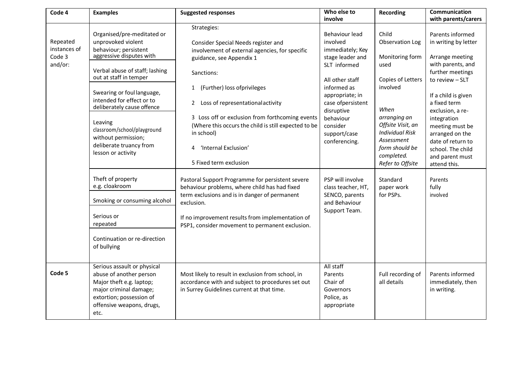| Code 4                                        | <b>Examples</b>                                                                                                                                                                                                                                                                                                                                                                                                                                                                                                              | <b>Suggested responses</b>                                                                                                                                                                                                                                                                                                                                                                                                                                                                                                                                                                                                                                                                                    | Who else to<br>involve                                                                                                                                                                                                                                                                                                             | Recording                                                                                                                                                                                                                                                            | <b>Communication</b><br>with parents/carers                                                                                                                                                                                                                                                                                                          |
|-----------------------------------------------|------------------------------------------------------------------------------------------------------------------------------------------------------------------------------------------------------------------------------------------------------------------------------------------------------------------------------------------------------------------------------------------------------------------------------------------------------------------------------------------------------------------------------|---------------------------------------------------------------------------------------------------------------------------------------------------------------------------------------------------------------------------------------------------------------------------------------------------------------------------------------------------------------------------------------------------------------------------------------------------------------------------------------------------------------------------------------------------------------------------------------------------------------------------------------------------------------------------------------------------------------|------------------------------------------------------------------------------------------------------------------------------------------------------------------------------------------------------------------------------------------------------------------------------------------------------------------------------------|----------------------------------------------------------------------------------------------------------------------------------------------------------------------------------------------------------------------------------------------------------------------|------------------------------------------------------------------------------------------------------------------------------------------------------------------------------------------------------------------------------------------------------------------------------------------------------------------------------------------------------|
| Repeated<br>instances of<br>Code 3<br>and/or: | Organised/pre-meditated or<br>unprovoked violent<br>behaviour; persistent<br>aggressive disputes with<br>Verbal abuse of staff; lashing<br>out at staff in temper<br>Swearing or foul language,<br>intended for effect or to<br>deliberately cause offence<br>Leaving<br>classroom/school/playground<br>without permission;<br>deliberate truancy from<br>lesson or activity<br>Theft of property<br>e.g. cloakroom<br>Smoking or consuming alcohol<br>Serious or<br>repeated<br>Continuation or re-direction<br>of bullying | Strategies:<br>Consider Special Needs register and<br>involvement of external agencies, for specific<br>guidance, see Appendix 1<br>Sanctions:<br>(Further) loss of privileges<br>$\mathbf{1}$<br>Loss of representational activity<br>$2^{\circ}$<br>3 Loss off or exclusion from forthcoming events<br>(Where this occurs the child is still expected to be<br>in school)<br>'Internal Exclusion'<br>4<br>5 Fixed term exclusion<br>Pastoral Support Programme for persistent severe<br>behaviour problems, where child has had fixed<br>term exclusions and is in danger of permanent<br>exclusion.<br>If no improvement results from implementation of<br>PSP1, consider movement to permanent exclusion. | Behaviour lead<br>involved<br>immediately; Key<br>stage leader and<br>SLT informed<br>All other staff<br>informed as<br>appropriate; in<br>case ofpersistent<br>disruptive<br>behaviour<br>consider<br>support/case<br>conferencing.<br>PSP will involve<br>class teacher, HT,<br>SENCO, parents<br>and Behaviour<br>Support Team. | Child<br>Observation Log<br>Monitoring form<br>used<br>Copies of Letters<br>involved<br>When<br>arranging an<br>Offsite Visit, an<br><b>Individual Risk</b><br>Assessment<br>form should be<br>completed.<br>Refer to Offsite<br>Standard<br>paper work<br>for PSPs. | Parents informed<br>in writing by letter<br>Arrange meeting<br>with parents, and<br>further meetings<br>to review - SLT<br>If a child is given<br>a fixed term<br>exclusion, a re-<br>integration<br>meeting must be<br>arranged on the<br>date of return to<br>school. The child<br>and parent must<br>attend this.<br>Parents<br>fully<br>involved |
| Code 5                                        | Serious assault or physical<br>abuse of another person<br>Major theft e.g. laptop;<br>major criminal damage;<br>extortion; possession of<br>offensive weapons, drugs,<br>etc.                                                                                                                                                                                                                                                                                                                                                | Most likely to result in exclusion from school, in<br>accordance with and subject to procedures set out<br>in Surrey Guidelines current at that time.                                                                                                                                                                                                                                                                                                                                                                                                                                                                                                                                                         | All staff<br>Parents<br>Chair of<br>Governors<br>Police, as<br>appropriate                                                                                                                                                                                                                                                         | Full recording of<br>all details                                                                                                                                                                                                                                     | Parents informed<br>immediately, then<br>in writing.                                                                                                                                                                                                                                                                                                 |